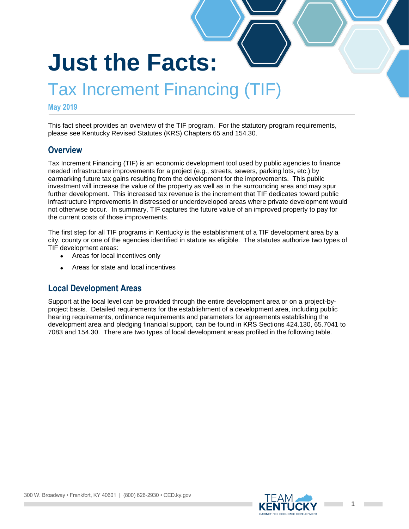# **Just the Facts:**

# Tax Increment Financing (TIF)

#### **May 2019**

This fact sheet provides an overview of the TIF program. For the statutory program requirements, please see Kentucky Revised Statutes (KRS) Chapters 65 and 154.30.

#### **Overview**

Tax Increment Financing (TIF) is an economic development tool used by public agencies to finance needed infrastructure improvements for a project (e.g., streets, sewers, parking lots, etc.) by earmarking future tax gains resulting from the development for the improvements. This public investment will increase the value of the property as well as in the surrounding area and may spur further development. This increased tax revenue is the increment that TIF dedicates toward public infrastructure improvements in distressed or underdeveloped areas where private development would not otherwise occur. In summary, TIF captures the future value of an improved property to pay for the current costs of those improvements.

The first step for all TIF programs in Kentucky is the establishment of a TIF development area by a city, county or one of the agencies identified in statute as eligible. The statutes authorize two types of TIF development areas:

- Areas for local incentives only
- Areas for state and local incentives

#### **Local Development Areas**

Support at the local level can be provided through the entire development area or on a project-byproject basis. Detailed requirements for the establishment of a development area, including public hearing requirements, ordinance requirements and parameters for agreements establishing the development area and pledging financial support, can be found in KRS Sections 424.130, 65.7041 to 7083 and 154.30. There are two types of local development areas profiled in the following table.

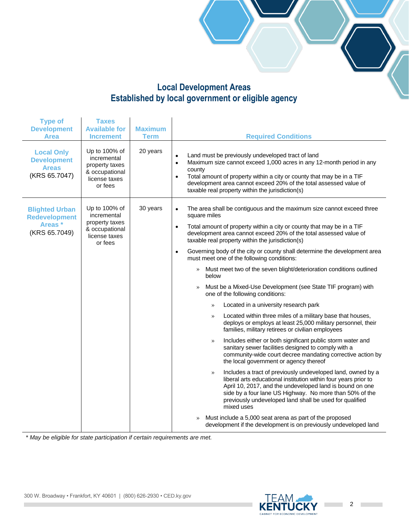#### **Local Development Areas Established by local government or eligible agency**

| <b>Type of</b><br><b>Development</b><br><b>Area</b>                      | <b>Taxes</b><br><b>Available for</b><br><b>Increment</b>                                     | <b>Maximum</b><br><b>Term</b> | <b>Required Conditions</b>                                                                                                                                                                                                                                                                                                                                                                                                                                                                                                                                                                                                                                                                                                                                                                                                                                                                                                                                                                                                                                                                                                                                                                                                                                                                                                                                                  |
|--------------------------------------------------------------------------|----------------------------------------------------------------------------------------------|-------------------------------|-----------------------------------------------------------------------------------------------------------------------------------------------------------------------------------------------------------------------------------------------------------------------------------------------------------------------------------------------------------------------------------------------------------------------------------------------------------------------------------------------------------------------------------------------------------------------------------------------------------------------------------------------------------------------------------------------------------------------------------------------------------------------------------------------------------------------------------------------------------------------------------------------------------------------------------------------------------------------------------------------------------------------------------------------------------------------------------------------------------------------------------------------------------------------------------------------------------------------------------------------------------------------------------------------------------------------------------------------------------------------------|
| <b>Local Only</b><br><b>Development</b><br><b>Areas</b><br>(KRS 65.7047) | Up to 100% of<br>incremental<br>property taxes<br>& occupational<br>license taxes<br>or fees | 20 years                      | Land must be previously undeveloped tract of land<br>$\bullet$<br>Maximum size cannot exceed 1,000 acres in any 12-month period in any<br>$\bullet$<br>county<br>Total amount of property within a city or county that may be in a TIF<br>$\bullet$<br>development area cannot exceed 20% of the total assessed value of<br>taxable real property within the jurisdiction(s)                                                                                                                                                                                                                                                                                                                                                                                                                                                                                                                                                                                                                                                                                                                                                                                                                                                                                                                                                                                                |
| <b>Blighted Urban</b><br><b>Redevelopment</b><br>Areas*<br>(KRS 65.7049) | Up to 100% of<br>incremental<br>property taxes<br>& occupational<br>license taxes<br>or fees | 30 years                      | The area shall be contiguous and the maximum size cannot exceed three<br>$\bullet$<br>square miles<br>Total amount of property within a city or county that may be in a TIF<br>$\bullet$<br>development area cannot exceed 20% of the total assessed value of<br>taxable real property within the jurisdiction(s)<br>Governing body of the city or county shall determine the development area<br>$\bullet$<br>must meet one of the following conditions:<br>Must meet two of the seven blight/deterioration conditions outlined<br>>><br>below<br>Must be a Mixed-Use Development (see State TIF program) with<br>$\rangle$<br>one of the following conditions:<br>Located in a university research park<br>$\rangle$<br>Located within three miles of a military base that houses,<br>$\rangle$<br>deploys or employs at least 25,000 military personnel, their<br>families, military retirees or civilian employees<br>Includes either or both significant public storm water and<br>$\rangle$<br>sanitary sewer facilities designed to comply with a<br>community-wide court decree mandating corrective action by<br>the local government or agency thereof<br>Includes a tract of previously undeveloped land, owned by a<br>$\rangle$<br>liberal arts educational institution within four years prior to<br>April 10, 2017, and the undeveloped land is bound on one |
|                                                                          |                                                                                              |                               | side by a four lane US Highway. No more than 50% of the<br>previously undeveloped land shall be used for qualified<br>mixed uses<br>Must include a 5,000 seat arena as part of the proposed<br>$\rangle$<br>development if the development is on previously undeveloped land                                                                                                                                                                                                                                                                                                                                                                                                                                                                                                                                                                                                                                                                                                                                                                                                                                                                                                                                                                                                                                                                                                |

*\* May be eligible for state participation if certain requirements are met.*

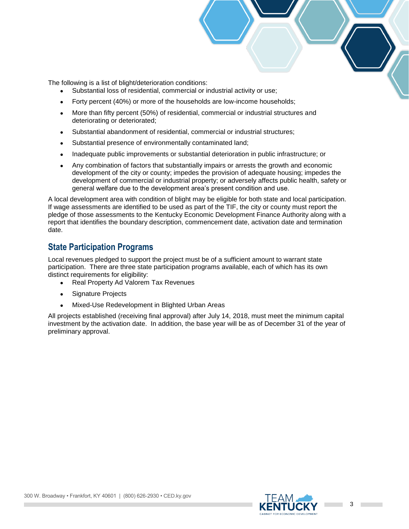The following is a list of blight/deterioration conditions:

- Substantial loss of residential, commercial or industrial activity or use;
- Forty percent (40%) or more of the households are low-income households;
- More than fifty percent (50%) of residential, commercial or industrial structures and deteriorating or deteriorated;
- Substantial abandonment of residential, commercial or industrial structures;
- Substantial presence of environmentally contaminated land;
- Inadequate public improvements or substantial deterioration in public infrastructure; or
- Any combination of factors that substantially impairs or arrests the growth and economic development of the city or county; impedes the provision of adequate housing; impedes the development of commercial or industrial property; or adversely affects public health, safety or general welfare due to the development area's present condition and use.

A local development area with condition of blight may be eligible for both state and local participation. If wage assessments are identified to be used as part of the TIF, the city or county must report the pledge of those assessments to the Kentucky Economic Development Finance Authority along with a report that identifies the boundary description, commencement date, activation date and termination date.

#### **State Participation Programs**

Local revenues pledged to support the project must be of a sufficient amount to warrant state participation. There are three state participation programs available, each of which has its own distinct requirements for eligibility:

- Real Property Ad Valorem Tax Revenues
- Signature Projects
- Mixed-Use Redevelopment in Blighted Urban Areas

All projects established (receiving final approval) after July 14, 2018, must meet the minimum capital investment by the activation date. In addition, the base year will be as of December 31 of the year of preliminary approval.

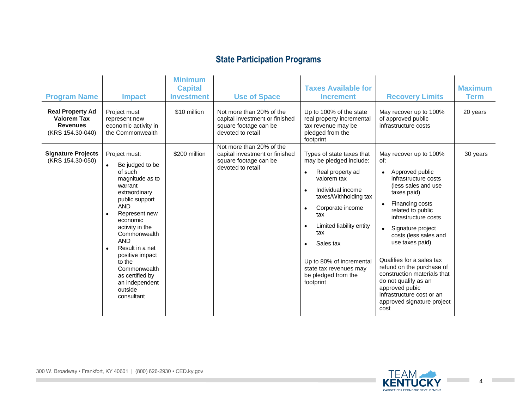## **State Participation Programs**

| <b>Program Name</b><br><b>Real Property Ad</b><br><b>Valorem Tax</b><br><b>Revenues</b><br>(KRS 154.30-040) | <b>Impact</b><br>Project must<br>represent new<br>economic activity in<br>the Commonwealth                                                                                                                                                                                                                                             | <b>Minimum</b><br><b>Capital</b><br><b>Investment</b><br>\$10 million | <b>Use of Space</b><br>Not more than 20% of the<br>capital investment or finished<br>square footage can be<br>devoted to retail | <b>Taxes Available for</b><br><b>Increment</b><br>Up to 100% of the state<br>real property incremental<br>tax revenue may be<br>pledged from the<br>footprint                                                                                                                                                                                                               | <b>Recovery Limits</b><br>May recover up to 100%<br>of approved public<br>infrastructure costs                                                                                                                                                                                                                                                                                                                                                                                                | <b>Maximum</b><br><b>Term</b><br>20 years |
|-------------------------------------------------------------------------------------------------------------|----------------------------------------------------------------------------------------------------------------------------------------------------------------------------------------------------------------------------------------------------------------------------------------------------------------------------------------|-----------------------------------------------------------------------|---------------------------------------------------------------------------------------------------------------------------------|-----------------------------------------------------------------------------------------------------------------------------------------------------------------------------------------------------------------------------------------------------------------------------------------------------------------------------------------------------------------------------|-----------------------------------------------------------------------------------------------------------------------------------------------------------------------------------------------------------------------------------------------------------------------------------------------------------------------------------------------------------------------------------------------------------------------------------------------------------------------------------------------|-------------------------------------------|
| <b>Signature Projects</b><br>(KRS 154.30-050)                                                               | Project must:<br>Be judged to be<br>of such<br>magnitude as to<br>warrant<br>extraordinary<br>public support<br><b>AND</b><br>Represent new<br>economic<br>activity in the<br>Commonwealth<br><b>AND</b><br>Result in a net<br>positive impact<br>to the<br>Commonwealth<br>as certified by<br>an independent<br>outside<br>consultant | \$200 million                                                         | Not more than 20% of the<br>capital investment or finished<br>square footage can be<br>devoted to retail                        | Types of state taxes that<br>may be pledged include:<br>Real property ad<br>$\bullet$<br>valorem tax<br>Individual income<br>$\bullet$<br>taxes/Withholding tax<br>Corporate income<br>$\bullet$<br>tax<br>Limited liability entity<br>$\bullet$<br>tax<br>Sales tax<br>$\bullet$<br>Up to 80% of incremental<br>state tax revenues may<br>be pledged from the<br>footprint | May recover up to 100%<br>of:<br>Approved public<br>$\bullet$<br>infrastructure costs<br>(less sales and use)<br>taxes paid)<br>Financing costs<br>$\bullet$<br>related to public<br>infrastructure costs<br>Signature project<br>$\bullet$<br>costs (less sales and<br>use taxes paid)<br>Qualifies for a sales tax<br>refund on the purchase of<br>construction materials that<br>do not qualify as an<br>approved pubic<br>infrastructure cost or an<br>approved signature project<br>cost | 30 years                                  |



**College**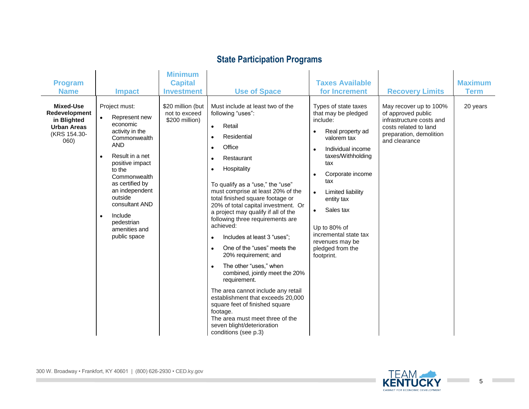## **State Participation Programs**

|                                                                                                |                                                                                                                                                                                                                                                                                                                                | <b>Minimum</b>                                       |                                                                                                                                                                                                                                                                                                                                                                                                                                                                                                                                                                                                                                                                                                                                                                                                                                                  |                                                                                                                                                                                                                                                                                                                                                                                              |                                                                                                                                               |                |
|------------------------------------------------------------------------------------------------|--------------------------------------------------------------------------------------------------------------------------------------------------------------------------------------------------------------------------------------------------------------------------------------------------------------------------------|------------------------------------------------------|--------------------------------------------------------------------------------------------------------------------------------------------------------------------------------------------------------------------------------------------------------------------------------------------------------------------------------------------------------------------------------------------------------------------------------------------------------------------------------------------------------------------------------------------------------------------------------------------------------------------------------------------------------------------------------------------------------------------------------------------------------------------------------------------------------------------------------------------------|----------------------------------------------------------------------------------------------------------------------------------------------------------------------------------------------------------------------------------------------------------------------------------------------------------------------------------------------------------------------------------------------|-----------------------------------------------------------------------------------------------------------------------------------------------|----------------|
| <b>Program</b>                                                                                 |                                                                                                                                                                                                                                                                                                                                | <b>Capital</b>                                       |                                                                                                                                                                                                                                                                                                                                                                                                                                                                                                                                                                                                                                                                                                                                                                                                                                                  | <b>Taxes Available</b>                                                                                                                                                                                                                                                                                                                                                                       |                                                                                                                                               | <b>Maximum</b> |
| <b>Name</b>                                                                                    | <b>Impact</b>                                                                                                                                                                                                                                                                                                                  | <b>Investment</b>                                    | <b>Use of Space</b>                                                                                                                                                                                                                                                                                                                                                                                                                                                                                                                                                                                                                                                                                                                                                                                                                              | for Increment                                                                                                                                                                                                                                                                                                                                                                                | <b>Recovery Limits</b>                                                                                                                        | <b>Term</b>    |
| <b>Mixed-Use</b><br>Redevelopment<br>in Blighted<br><b>Urban Areas</b><br>(KRS 154.30-<br>060) | Project must:<br>Represent new<br>$\bullet$<br>economic<br>activity in the<br>Commonwealth<br><b>AND</b><br>Result in a net<br>$\bullet$<br>positive impact<br>to the<br>Commonwealth<br>as certified by<br>an independent<br>outside<br>consultant AND<br>Include<br>$\bullet$<br>pedestrian<br>amenities and<br>public space | \$20 million (but<br>not to exceed<br>\$200 million) | Must include at least two of the<br>following "uses":<br>Retail<br>$\bullet$<br>Residential<br>$\bullet$<br>Office<br>$\bullet$<br>Restaurant<br>$\bullet$<br>Hospitality<br>$\bullet$<br>To qualify as a "use," the "use"<br>must comprise at least 20% of the<br>total finished square footage or<br>20% of total capital investment. Or<br>a project may qualify if all of the<br>following three requirements are<br>achieved:<br>Includes at least 3 "uses";<br>$\bullet$<br>One of the "uses" meets the<br>20% requirement; and<br>The other "uses," when<br>$\bullet$<br>combined, jointly meet the 20%<br>requirement.<br>The area cannot include any retail<br>establishment that exceeds 20,000<br>square feet of finished square<br>footage.<br>The area must meet three of the<br>seven blight/deterioration<br>conditions (see p.3) | Types of state taxes<br>that may be pledged<br>include:<br>Real property ad<br>$\bullet$<br>valorem tax<br>Individual income<br>$\bullet$<br>taxes/Withholding<br>tax<br>Corporate income<br>$\bullet$<br>tax<br><b>Limited liability</b><br>$\bullet$<br>entity tax<br>Sales tax<br>$\bullet$<br>Up to 80% of<br>incremental state tax<br>revenues may be<br>pledged from the<br>footprint. | May recover up to 100%<br>of approved public<br>infrastructure costs and<br>costs related to land<br>preparation, demolition<br>and clearance | 20 years       |

**COL**